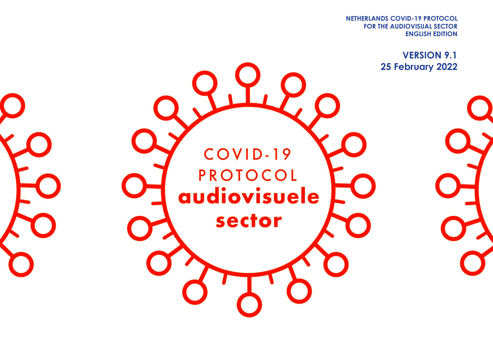**FOR THE AUDIOVISUAL SECTOR NETHERLANDS COVID-19 PROTOCOL ENGLISH EDITION**

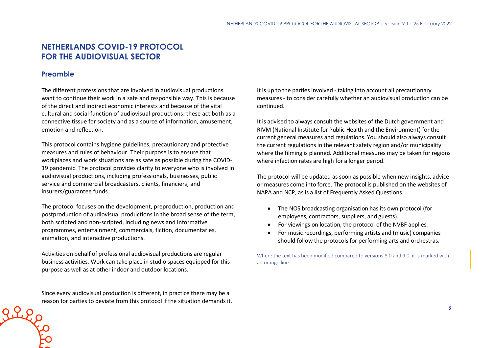# **NETHERLANDS COVID-19 PROTOCOL FOR THE AUDIOVISUAL SECTOR**

## **Preamble**

The different professions that are involved in audiovisual productions want to continue their work in a safe and responsible way. This is because of the direct and indirect economic interests and because of the vital cultural and social function of audiovisual productions: these act both as a connective tissue for society and as a source of information, amusement, emotion and reflection.

This protocol contains hygiene guidelines, precautionary and protective measures and rules of behaviour. Their purpose is to ensure that workplaces and work situations are as safe as possible during the COVID-19 pandemic. The protocol provides clarity to everyone who is involved in audiovisual productions, including professionals, businesses, public service and commercial broadcasters, clients, financiers, and insurers/guarantee funds.

The protocol focuses on the development, preproduction, production and postproduction of audiovisual productions in the broad sense of the term, both scripted and non-scripted, including news and informative programmes, entertainment, commercials, fiction, documentaries, animation, and interactive productions.

Activities on behalf of professional audiovisual productions are regular business activities. Work can take place in studio spaces equipped for this purpose as well as at other indoor and outdoor locations.

Since every audiovisual production is different, in practice there may be a reason for parties to deviate from this protocol if the situation demands it. It is up to the parties involved - taking into account all precautionary measures - to consider carefully whether an audiovisual production can be continued.

It is advised to always consult the websites of the Dutch government and RIVM (National Institute for Public Health and the Environment) for the current general measures and regulations. You should also always consult the current regulations in the relevant safety region and/or municipality where the filming is planned. Additional measures may be taken for regions where infection rates are high for a longer period.

The protocol will be updated as soon as possible when new insights, advice or measures come into force. The protocol is published on the websites of NAPA and NCP, as is a list of Frequently Asked Questions.

- The NOS broadcasting organisation has its own protocol (for employees, contractors, suppliers, and guests).
- For viewings on location, the protocol of the NVBF applies.
- For music recordings, performing artists and (music) companies should follow the protocols for performing arts and orchestras.

Where the text has been modified compared to versions 8.0 and 9.0, it is marked with an orange line.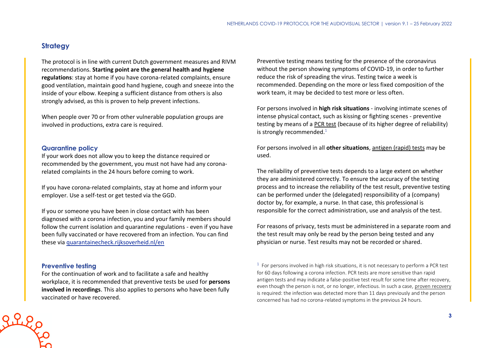# **Strategy**

The protocol is in line with current Dutch government measures and RIVM recommendations. **Starting point are the general health and hygiene regulations**: stay at home if you have corona-related complaints, ensure good ventilation, maintain good hand hygiene, cough and sneeze into the inside of your elbow. Keeping a sufficient distance from others is also strongly advised, as this is proven to help prevent infections.

When people over 70 or from other vulnerable population groups are involved in productions, extra care is required.

#### **Quarantine policy**

If your work does not allow you to keep the distance required or recommended by the government, you must not have had any coronarelated complaints in the 24 hours before coming to work.

If you have corona-related complaints, stay at home and inform your employer. Use a self-test or get tested via the GGD.

If you or someone you have been in close contact with has been diagnosed with a corona infection, you and your family members should follow the current isolation and quarantine regulations - even if you have been fully vaccinated or have recovered from an infection. You can find these via [quarantainecheck.rijksoverheid.nl/en](https://quarantainecheck.rijksoverheid.nl/en)

#### **Preventive testing**

For the continuation of work and to facilitate a safe and healthy workplace, it is recommended that preventive tests be used for **persons involved in recordings**. This also applies to persons who have been fully vaccinated or have recovered.

Preventive testing means testing for the presence of the coronavirus without the person showing symptoms of COVID-19, in order to further reduce the risk of spreading the virus. Testing twice a week is recommended. Depending on the more or less fixed composition of the work team, it may be decided to test more or less often.

For persons involved in **high risk situations** - involving intimate scenes of intense physical contact, such as kissing or fighting scenes - preventive testing by means of a PCR test (because of its higher degree of reliability) is strongly recommended. $1$ 

For persons involved in all **other situations**, antigen (rapid) tests may be used.

The reliability of preventive tests depends to a large extent on whether they are administered correctly. To ensure the accuracy of the testing process and to increase the reliability of the test result, preventive testing can be performed under the (delegated) responsibility of a (company) doctor by, for example, a nurse. In that case, this professional is responsible for the correct administration, use and analysis of the test.

For reasons of privacy, tests must be administered in a separate room and the test result may only be read by the person being tested and any physician or nurse. Test results may not be recorded or shared.

 $1$  For persons involved in high risk situations, it is not necessary to perform a PCR test for 60 days following a corona infection. PCR tests are more sensitive than rapid antigen tests and may indicate a false-positive test result for some time after recovery, even though the person is not, or no longer, infectious. In such a case, proven recovery is required: the infection was detected more than 11 days previously and the person concerned has had no corona-related symptoms in the previous 24 hours.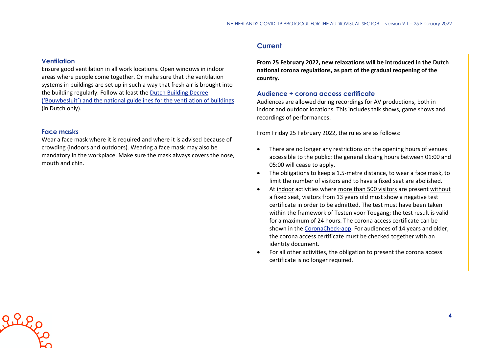#### **Ventilation**

Ensure good ventilation in all work locations. Open windows in indoor areas where people come together. Or make sure that the ventilation systems in buildings are set up in such a way that fresh air is brought into the building regularly. Follow at least the [Dutch Building Decree](https://rijksoverheid.bouwbesluit.com/Inhoud/docs/wet/bb2012_nvt/artikelsgewijs/hfd3/afd3-6)  [\('Bouwbesluit'\) and the national guidelines for the ventilation of buildings](https://rijksoverheid.bouwbesluit.com/Inhoud/docs/wet/bb2012_nvt/artikelsgewijs/hfd3/afd3-6) (in Dutch only).

#### **Face masks**

Wear a face mask where it is required and where it is advised because of crowding (indoors and outdoors). Wearing a face mask may also be mandatory in the workplace. Make sure the mask always covers the nose, mouth and chin.

### **Current**

**From 25 February 2022, new relaxations will be introduced in the Dutch national corona regulations, as part of the gradual reopening of the country.**

#### **Audience + corona access certificate**

Audiences are allowed during recordings for AV productions, both in indoor and outdoor locations. This includes talk shows, game shows and recordings of performances.

From Friday 25 February 2022, the rules are as follows:

- There are no longer any restrictions on the opening hours of venues accessible to the public: the general closing hours between 01:00 and 05:00 will cease to apply.
- The obligations to keep a 1.5-metre distance, to wear a face mask, to limit the number of visitors and to have a fixed seat are abolished.
- At indoor activities where more than 500 visitors are present without a fixed seat, visitors from 13 years old must show a negative test certificate in order to be admitted. The test must have been taken within the framework of Testen voor Toegang; the test result is valid for a maximum of 24 hours. The corona access certificate can be shown in the [CoronaCheck-app.](https://coronacheck.nl/nl/) For audiences of 14 years and older, the corona access certificate must be checked together with an identity document.
- For all other activities, the obligation to present the corona access certificate is no longer required.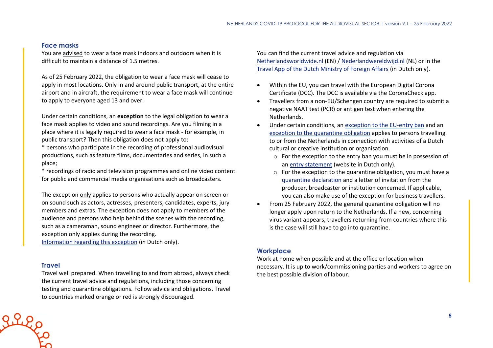### **Face masks**

You are advised to wear a face mask indoors and outdoors when it is difficult to maintain a distance of 1.5 metres.

As of 25 February 2022, the obligation to wear a face mask will cease to apply in most locations. Only in and around public transport, at the entire airport and in aircraft, the requirement to wear a face mask will continue to apply to everyone aged 13 and over.

Under certain conditions, an **exception** to the legal obligation to wear a face mask applies to video and sound recordings. Are you filming in a place where it is legally required to wear a face mask - for example, in public transport? Then this obligation does not apply to:

\* persons who participate in the recording of professional audiovisual productions, such as feature films, documentaries and series, in such a place;

\* recordings of radio and television programmes and online video content for public and commercial media organisations such as broadcasters.

The exception only applies to persons who actually appear on screen or on sound such as actors, actresses, presenters, candidates, experts, jury members and extras. The exception does not apply to members of the audience and persons who help behind the scenes with the recording, such as a cameraman, sound engineer or director. Furthermore, the exception only applies during the recording.

[Information regarding this exception](https://www.rijksoverheid.nl/onderwerpen/coronavirus-covid-19/mondkapjes/tijdens-het-werk) (in Dutch only).

### **Travel**

Travel well prepared. When travelling to and from abroad, always check the current travel advice and regulations, including those concerning testing and quarantine obligations. Follow advice and obligations. Travel to countries marked orange or red is strongly discouraged.

You can find the current travel advice and regulation via [Netherlandsworldwide.nl](https://www.netherlandsworldwide.nl/) (EN) / [Nederlandwereldwijd.nl](https://www.nederlandwereldwijd.nl/) (NL) or in the [Travel App of the Dutch Ministry of Foreign Affairs](https://www.nederlandwereldwijd.nl/documenten/vragen-en-antwoorden/reis-app-buitenlandse-zaken) (in Dutch only).

- Within the EU, you can travel with the European Digital Corona Certificate (DCC). The DCC is available via the CoronaCheck app.
- Travellers from a non-EU/Schengen country are required to submit a negative NAAT test (PCR) or antigen test when entering the Netherlands.
- Under certain conditions, an [exception to the EU-entry ban](https://www.government.nl/topics/coronavirus-covid-19/visiting-the-netherlands-from-abroad/exemptions-to-the-entry-ban/professionals-in-the-cultural-and-creative-sectors) and an [exception to the quarantine obligation](https://www.government.nl/topics/coronavirus-covid-19/visiting-the-netherlands-from-abroad/self-quarantine/exceptions-mandatory-quarantine) applies to persons travelling to or from the Netherlands in connection with activities of a Dutch cultural or creative institution or organisation.
	- o For the exception to the entry ban you must be in possession of an [entry statement](https://www.inreisverklaringcultuur.nl/) (website in Dutch only).
	- o For the exception to the quarantine obligation, you must have a [quarantine declaration](https://www.rijksoverheid.nl/onderwerpen/coronavirus-covid-19/documenten/publicaties/2021/05/20/quarantaineverklaring) and a letter of invitation from the producer, broadcaster or institution concerned. If applicable, you can also make use of the exception for business travellers.
- From 25 February 2022, the general quarantine obligation will no longer apply upon return to the Netherlands. If a new, concerning virus variant appears, travellers returning from countries where this is the case will still have to go into quarantine.

#### **Workplace**

Work at home when possible and at the office or location when necessary. It is up to work/commissioning parties and workers to agree on the best possible division of labour.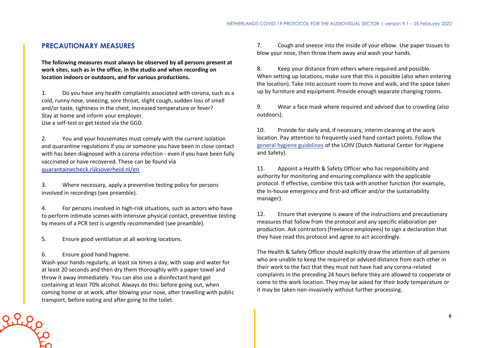## **PRECAUTIONARY MEASURES**

**The following measures must always be observed by all persons present at work sites, such as in the office, in the studio and when recording on location indoors or outdoors, and for various productions.**

1. Do you have any health complaints associated with corona, such as a cold, runny nose, sneezing, sore throat, slight cough, sudden loss of smell and/or taste, tightness in the chest, increased temperature or fever? Stay at home and inform your employer. Use a self-test or get tested via the GGD.

2. You and your housemates must comply with the current isolation and quarantine regulations if you or someone you have been in close contact with has been diagnosed with a corona infection - even if you have been fully vaccinated or have recovered. These can be found via [quarantainecheck.rijksoverheid.nl/en](https://quarantainecheck.rijksoverheid.nl/en)

3. Where necessary, apply a preventive testing policy for persons involved in recordings (see preamble).

4. For persons involved in high-risk situations, such as actors who have to perform intimate scenes with intensive physical contact, preventive testing by means of a PCR test is urgently recommended (see preamble).

5. Ensure good ventilation at all working locations.

6. Ensure good hand hygiene.

Wash your hands regularly, at least six times a day, with soap and water for at least 20 seconds and then dry them thoroughly with a paper towel and throw it away immediately. You can also use a disinfectant hand gel containing at least 70% alcohol. Always do this: before going out, when coming home or at work, after blowing your nose, after travelling with public transport, before eating and after going to the toilet.

7. Cough and sneeze into the inside of your elbow. Use paper tissues to blow your nose, then throw them away and wash your hands.

8. Keep your distance from others where required and possible. When setting up locations, make sure that this is possible (also when entering the location). Take into account room to move and walk, and the space taken up by furniture and equipment. Provide enough separate changing rooms.

9. Wear a face mask where required and advised due to crowding (also outdoors).

10. Provide for daily and, if necessary, interim cleaning at the work location. Pay attention to frequently used hand contact points. Follow the [general hygiene guidelines](https://www.rivm.nl/hygienerichtlijnen/algemeen) of the LCHV (Dutch National Center for Hygiene and Safety).

11. Appoint a Health & Safety Officer who has responsibility and authority for monitoring and ensuring compliance with the applicable protocol. If effective, combine this task with another function (for example, the in-house emergency and first-aid officer and/or the sustainability manager).

12. Ensure that everyone is aware of the instructions and precautionary measures that follow from the protocol and any specific elaboration per production. Ask contractors (freelance employees) to sign a declaration that they have read this protocol and agree to act accordingly.

The Health & Safety Officer should explicitly draw the attention of all persons who are unable to keep the required or advised distance from each other in their work to the fact that they must not have had any corona-related complaints in the preceding 24 hours before they are allowed to cooperate or come to the work location. They may be asked for their body temperature or it may be taken non-invasively without further processing.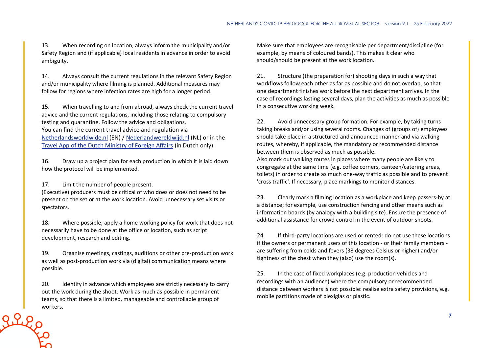13. When recording on location, always inform the municipality and/or Safety Region and (if applicable) local residents in advance in order to avoid ambiguity.

14. Always consult the current regulations in the relevant Safety Region and/or municipality where filming is planned. Additional measures may follow for regions where infection rates are high for a longer period.

15. When travelling to and from abroad, always check the current travel advice and the current regulations, including those relating to compulsory testing and quarantine. Follow the advice and obligations. You can find the current travel advice and regulation via [Netherlandsworldwide.nl](https://www.netherlandsworldwide.nl/) (EN) / [Nederlandwereldwijd.nl](https://www.nederlandwereldwijd.nl/) (NL) or in the [Travel App of the Dutch Ministry of Foreign Affairs](https://www.nederlandwereldwijd.nl/documenten/vragen-en-antwoorden/reis-app-buitenlandse-zaken) (in Dutch only).

16. Draw up a project plan for each production in which it is laid down how the protocol will be implemented.

17. Limit the number of people present.

(Executive) producers must be critical of who does or does not need to be present on the set or at the work location. Avoid unnecessary set visits or spectators.

18. Where possible, apply a home working policy for work that does not necessarily have to be done at the office or location, such as script development, research and editing.

19. Organise meetings, castings, auditions or other pre-production work as well as post-production work via (digital) communication means where possible.

20. Identify in advance which employees are strictly necessary to carry out the work during the shoot. Work as much as possible in permanent teams, so that there is a limited, manageable and controllable group of **PLLCCO** WOrkers.

Make sure that employees are recognisable per department/discipline (for example, by means of coloured bands). This makes it clear who should/should be present at the work location.

21. Structure (the preparation for) shooting days in such a way that workflows follow each other as far as possible and do not overlap, so that one department finishes work before the next department arrives. In the case of recordings lasting several days, plan the activities as much as possible in a consecutive working week.

22. Avoid unnecessary group formation. For example, by taking turns taking breaks and/or using several rooms. Changes of (groups of) employees should take place in a structured and announced manner and via walking routes, whereby, if applicable, the mandatory or recommended distance between them is observed as much as possible. Also mark out walking routes in places where many people are likely to congregate at the same time (e.g. coffee corners, canteen/catering areas, toilets) in order to create as much one-way traffic as possible and to prevent 'cross traffic'. If necessary, place markings to monitor distances.

23. Clearly mark a filming location as a workplace and keep passers-by at a distance; for example, use construction fencing and other means such as information boards (by analogy with a building site). Ensure the presence of additional assistance for crowd control in the event of outdoor shoots.

24. If third-party locations are used or rented: do not use these locations if the owners or permanent users of this location - or their family members are suffering from colds and fevers (38 degrees Celsius or higher) and/or tightness of the chest when they (also) use the room(s).

25. In the case of fixed workplaces (e.g. production vehicles and recordings with an audience) where the compulsory or recommended distance between workers is not possible: realise extra safety provisions, e.g. mobile partitions made of plexiglas or plastic.